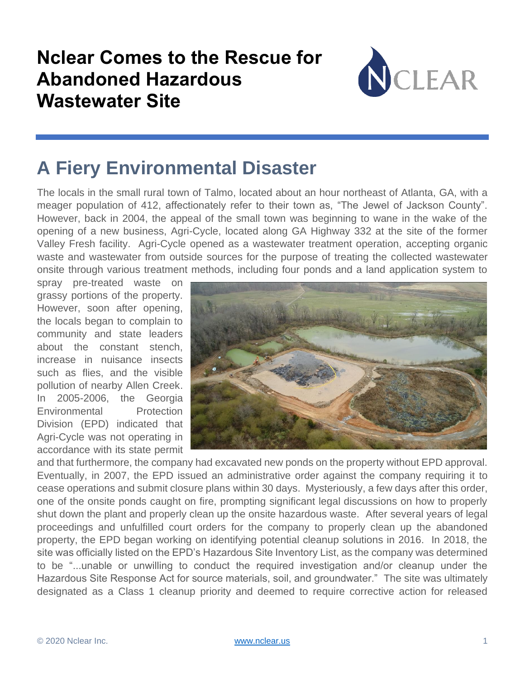### **Nclear Comes to the Rescue for Abandoned Hazardous Wastewater Site**



## **A Fiery Environmental Disaster**

The locals in the small rural town of Talmo, located about an hour northeast of Atlanta, GA, with a meager population of 412, affectionately refer to their town as, "The Jewel of Jackson County". However, back in 2004, the appeal of the small town was beginning to wane in the wake of the opening of a new business, Agri-Cycle, located along GA Highway 332 at the site of the former Valley Fresh facility. Agri-Cycle opened as a wastewater treatment operation, accepting organic waste and wastewater from outside sources for the purpose of treating the collected wastewater onsite through various treatment methods, including four ponds and a land application system to

spray pre-treated waste on grassy portions of the property. However, soon after opening, the locals began to complain to community and state leaders about the constant stench, increase in nuisance insects such as flies, and the visible pollution of nearby Allen Creek. In 2005-2006, the Georgia Environmental Protection Division (EPD) indicated that Agri-Cycle was not operating in accordance with its state permit



and that furthermore, the company had excavated new ponds on the property without EPD approval. Eventually, in 2007, the EPD issued an administrative order against the company requiring it to cease operations and submit closure plans within 30 days. Mysteriously, a few days after this order, one of the onsite ponds caught on fire, prompting significant legal discussions on how to properly shut down the plant and properly clean up the onsite hazardous waste. After several years of legal proceedings and unfulfilled court orders for the company to properly clean up the abandoned property, the EPD began working on identifying potential cleanup solutions in 2016. In 2018, the site was officially listed on the EPD's Hazardous Site Inventory List, as the company was determined to be "...unable or unwilling to conduct the required investigation and/or cleanup under the Hazardous Site Response Act for source materials, soil, and groundwater." The site was ultimately designated as a Class 1 cleanup priority and deemed to require corrective action for released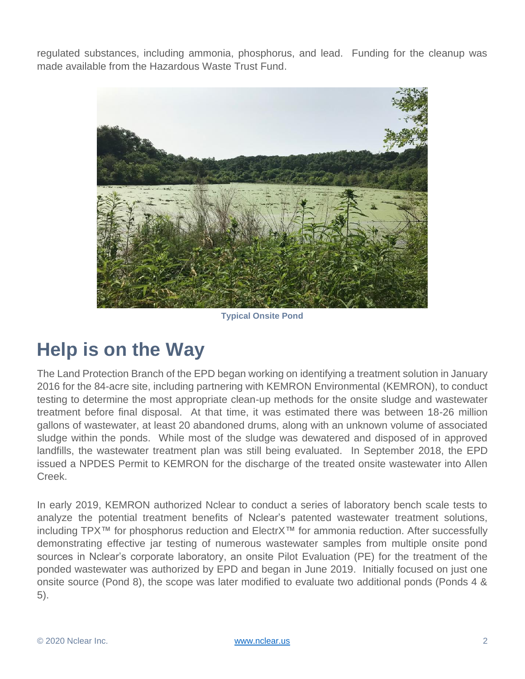regulated substances, including ammonia, phosphorus, and lead. Funding for the cleanup was made available from the Hazardous Waste Trust Fund.



**Typical Onsite Pond**

#### **Help is on the Way**

The Land Protection Branch of the EPD began working on identifying a treatment solution in January 2016 for the 84-acre site, including partnering with KEMRON Environmental (KEMRON), to conduct testing to determine the most appropriate clean-up methods for the onsite sludge and wastewater treatment before final disposal. At that time, it was estimated there was between 18-26 million gallons of wastewater, at least 20 abandoned drums, along with an unknown volume of associated sludge within the ponds. While most of the sludge was dewatered and disposed of in approved landfills, the wastewater treatment plan was still being evaluated. In September 2018, the EPD issued a NPDES Permit to KEMRON for the discharge of the treated onsite wastewater into Allen Creek.

In early 2019, KEMRON authorized Nclear to conduct a series of laboratory bench scale tests to analyze the potential treatment benefits of Nclear's patented wastewater treatment solutions, including TPX™ for phosphorus reduction and ElectrX™ for ammonia reduction. After successfully demonstrating effective jar testing of numerous wastewater samples from multiple onsite pond sources in Nclear's corporate laboratory, an onsite Pilot Evaluation (PE) for the treatment of the ponded wastewater was authorized by EPD and began in June 2019. Initially focused on just one onsite source (Pond 8), the scope was later modified to evaluate two additional ponds (Ponds 4 & 5).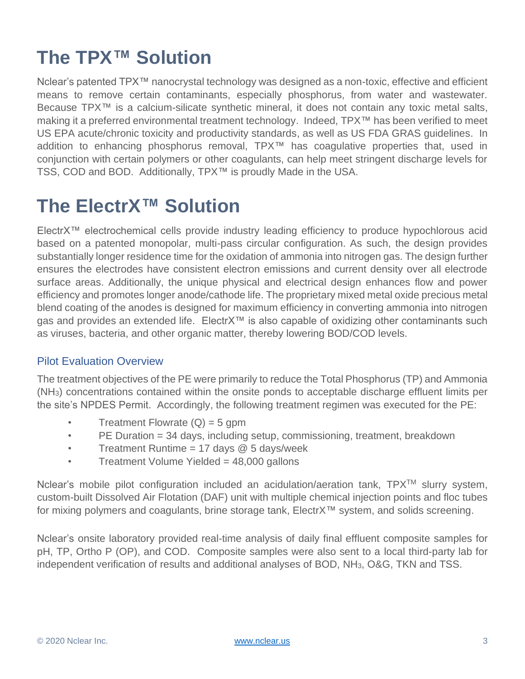## **The TPX™ Solution**

Nclear's patented TPX™ nanocrystal technology was designed as a non-toxic, effective and efficient means to remove certain contaminants, especially phosphorus, from water and wastewater. Because TPX™ is a calcium-silicate synthetic mineral, it does not contain any toxic metal salts, making it a preferred environmental treatment technology. Indeed, TPX™ has been verified to meet US EPA acute/chronic toxicity and productivity standards, as well as US FDA GRAS guidelines. In addition to enhancing phosphorus removal, TPX™ has coagulative properties that, used in conjunction with certain polymers or other coagulants, can help meet stringent discharge levels for TSS, COD and BOD. Additionally, TPX™ is proudly Made in the USA.

### **The ElectrX™ Solution**

ElectrX™ electrochemical cells provide industry leading efficiency to produce hypochlorous acid based on a patented monopolar, multi-pass circular configuration. As such, the design provides substantially longer residence time for the oxidation of ammonia into nitrogen gas. The design further ensures the electrodes have consistent electron emissions and current density over all electrode surface areas. Additionally, the unique physical and electrical design enhances flow and power efficiency and promotes longer anode/cathode life. The proprietary mixed metal oxide precious metal blend coating of the anodes is designed for maximum efficiency in converting ammonia into nitrogen gas and provides an extended life. ElectrX<sup>™</sup> is also capable of oxidizing other contaminants such as viruses, bacteria, and other organic matter, thereby lowering BOD/COD levels.

#### Pilot Evaluation Overview

The treatment objectives of the PE were primarily to reduce the Total Phosphorus (TP) and Ammonia (NH3) concentrations contained within the onsite ponds to acceptable discharge effluent limits per the site's NPDES Permit. Accordingly, the following treatment regimen was executed for the PE:

- Treatment Flowrate  $(Q) = 5$  gpm
- PE Duration = 34 days, including setup, commissioning, treatment, breakdown
- Treatment Runtime =  $17$  days @ 5 days/week
- Treatment Volume Yielded = 48,000 gallons

Nclear's mobile pilot configuration included an acidulation/aeration tank, TPX™ slurry system, custom-built Dissolved Air Flotation (DAF) unit with multiple chemical injection points and floc tubes for mixing polymers and coagulants, brine storage tank, ElectrX™ system, and solids screening.

Nclear's onsite laboratory provided real-time analysis of daily final effluent composite samples for pH, TP, Ortho P (OP), and COD. Composite samples were also sent to a local third-party lab for independent verification of results and additional analyses of BOD, NH<sub>3</sub>, O&G, TKN and TSS.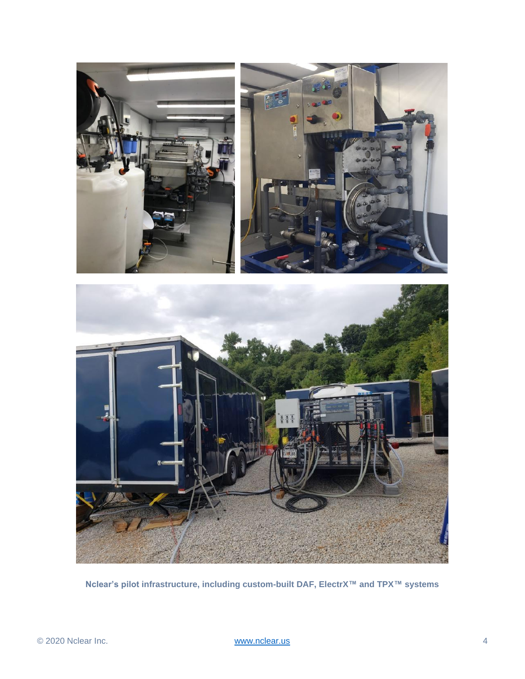

**Nclear's pilot infrastructure, including custom-built DAF, ElectrX™ and TPX™ systems**